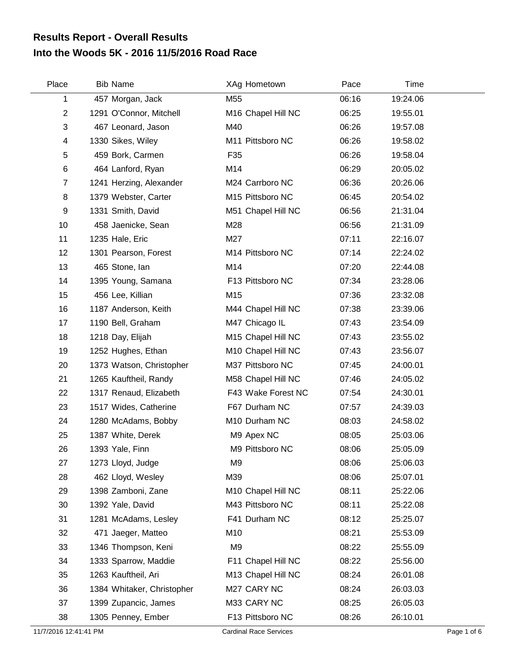## **Into the Woods 5K - 2016 11/5/2016 Road Race Results Report - Overall Results**

| Place          | <b>Bib Name</b>            | XAg Hometown                   | Pace  | Time     |  |
|----------------|----------------------------|--------------------------------|-------|----------|--|
| 1              | 457 Morgan, Jack           | M55                            | 06:16 | 19:24.06 |  |
| $\overline{2}$ | 1291 O'Connor, Mitchell    | M <sub>16</sub> Chapel Hill NC | 06:25 | 19:55.01 |  |
| 3              | 467 Leonard, Jason         | M40                            | 06:26 | 19:57.08 |  |
| 4              | 1330 Sikes, Wiley          | M11 Pittsboro NC               | 06:26 | 19:58.02 |  |
| 5              | 459 Bork, Carmen           | F35                            | 06:26 | 19:58.04 |  |
| 6              | 464 Lanford, Ryan          | M14                            | 06:29 | 20:05.02 |  |
| $\overline{7}$ | 1241 Herzing, Alexander    | M24 Carrboro NC                | 06:36 | 20:26.06 |  |
| 8              | 1379 Webster, Carter       | M15 Pittsboro NC               | 06:45 | 20:54.02 |  |
| 9              | 1331 Smith, David          | M51 Chapel Hill NC             | 06:56 | 21:31.04 |  |
| 10             | 458 Jaenicke, Sean         | M28                            | 06:56 | 21:31.09 |  |
| 11             | 1235 Hale, Eric            | M27                            | 07:11 | 22:16.07 |  |
| 12             | 1301 Pearson, Forest       | M14 Pittsboro NC               | 07:14 | 22:24.02 |  |
| 13             | 465 Stone, lan             | M14                            | 07:20 | 22:44.08 |  |
| 14             | 1395 Young, Samana         | F13 Pittsboro NC               | 07:34 | 23:28.06 |  |
| 15             | 456 Lee, Killian           | M15                            | 07:36 | 23:32.08 |  |
| 16             | 1187 Anderson, Keith       | M44 Chapel Hill NC             | 07:38 | 23:39.06 |  |
| 17             | 1190 Bell, Graham          | M47 Chicago IL                 | 07:43 | 23:54.09 |  |
| 18             | 1218 Day, Elijah           | M15 Chapel Hill NC             | 07:43 | 23:55.02 |  |
| 19             | 1252 Hughes, Ethan         | M10 Chapel Hill NC             | 07:43 | 23:56.07 |  |
| 20             | 1373 Watson, Christopher   | M37 Pittsboro NC               | 07:45 | 24:00.01 |  |
| 21             | 1265 Kauftheil, Randy      | M58 Chapel Hill NC             | 07:46 | 24:05.02 |  |
| 22             | 1317 Renaud, Elizabeth     | F43 Wake Forest NC             | 07:54 | 24:30.01 |  |
| 23             | 1517 Wides, Catherine      | F67 Durham NC                  | 07:57 | 24:39.03 |  |
| 24             | 1280 McAdams, Bobby        | M10 Durham NC                  | 08:03 | 24:58.02 |  |
| 25             | 1387 White, Derek          | M9 Apex NC                     | 08:05 | 25:03.06 |  |
| 26             | 1393 Yale, Finn            | M9 Pittsboro NC                | 08:06 | 25:05.09 |  |
| 27             | 1273 Lloyd, Judge          | M <sub>9</sub>                 | 08:06 | 25:06.03 |  |
| 28             | 462 Lloyd, Wesley          | M39                            | 08:06 | 25:07.01 |  |
| 29             | 1398 Zamboni, Zane         | M10 Chapel Hill NC             | 08:11 | 25:22.06 |  |
| 30             | 1392 Yale, David           | M43 Pittsboro NC               | 08:11 | 25:22.08 |  |
| 31             | 1281 McAdams, Lesley       | F41 Durham NC                  | 08:12 | 25:25.07 |  |
| 32             | 471 Jaeger, Matteo         | M10                            | 08:21 | 25:53.09 |  |
| 33             | 1346 Thompson, Keni        | M <sub>9</sub>                 | 08:22 | 25:55.09 |  |
| 34             | 1333 Sparrow, Maddie       | F11 Chapel Hill NC             | 08:22 | 25:56.00 |  |
| 35             | 1263 Kauftheil, Ari        | M13 Chapel Hill NC             | 08:24 | 26:01.08 |  |
| 36             | 1384 Whitaker, Christopher | M27 CARY NC                    | 08:24 | 26:03.03 |  |
| 37             | 1399 Zupancic, James       | M33 CARY NC                    | 08:25 | 26:05.03 |  |
| 38             | 1305 Penney, Ember         | F13 Pittsboro NC               | 08:26 | 26:10.01 |  |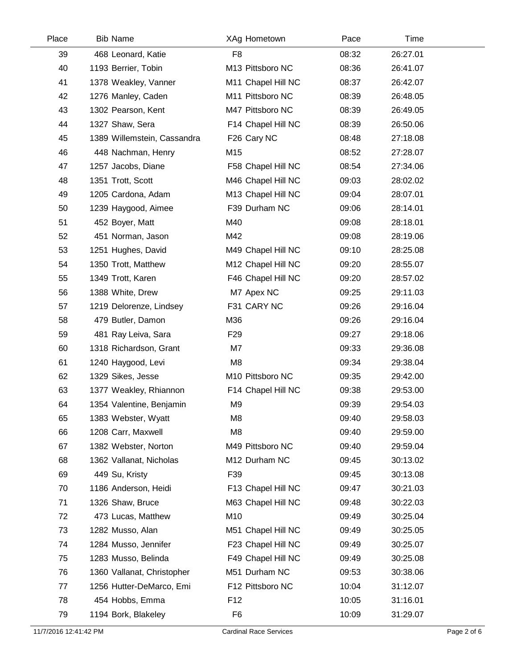| Place | <b>Bib Name</b>             | XAg Hometown       | Pace  | Time     |  |
|-------|-----------------------------|--------------------|-------|----------|--|
| 39    | 468 Leonard, Katie          | F <sub>8</sub>     | 08:32 | 26:27.01 |  |
| 40    | 1193 Berrier, Tobin         | M13 Pittsboro NC   | 08:36 | 26:41.07 |  |
| 41    | 1378 Weakley, Vanner        | M11 Chapel Hill NC | 08:37 | 26:42.07 |  |
| 42    | 1276 Manley, Caden          | M11 Pittsboro NC   | 08:39 | 26:48.05 |  |
| 43    | 1302 Pearson, Kent          | M47 Pittsboro NC   | 08:39 | 26:49.05 |  |
| 44    | 1327 Shaw, Sera             | F14 Chapel Hill NC | 08:39 | 26:50.06 |  |
| 45    | 1389 Willemstein, Cassandra | F26 Cary NC        | 08:48 | 27:18.08 |  |
| 46    | 448 Nachman, Henry          | M15                | 08:52 | 27:28.07 |  |
| 47    | 1257 Jacobs, Diane          | F58 Chapel Hill NC | 08:54 | 27:34.06 |  |
| 48    | 1351 Trott, Scott           | M46 Chapel Hill NC | 09:03 | 28:02.02 |  |
| 49    | 1205 Cardona, Adam          | M13 Chapel Hill NC | 09:04 | 28:07.01 |  |
| 50    | 1239 Haygood, Aimee         | F39 Durham NC      | 09:06 | 28:14.01 |  |
| 51    | 452 Boyer, Matt             | M40                | 09:08 | 28:18.01 |  |
| 52    | 451 Norman, Jason           | M42                | 09:08 | 28:19.06 |  |
| 53    | 1251 Hughes, David          | M49 Chapel Hill NC | 09:10 | 28:25.08 |  |
| 54    | 1350 Trott, Matthew         | M12 Chapel Hill NC | 09:20 | 28:55.07 |  |
| 55    | 1349 Trott, Karen           | F46 Chapel Hill NC | 09:20 | 28:57.02 |  |
| 56    | 1388 White, Drew            | M7 Apex NC         | 09:25 | 29:11.03 |  |
| 57    | 1219 Delorenze, Lindsey     | F31 CARY NC        | 09:26 | 29:16.04 |  |
| 58    | 479 Butler, Damon           | M36                | 09:26 | 29:16.04 |  |
| 59    | 481 Ray Leiva, Sara         | F <sub>29</sub>    | 09:27 | 29:18.06 |  |
| 60    | 1318 Richardson, Grant      | M7                 | 09:33 | 29:36.08 |  |
| 61    | 1240 Haygood, Levi          | M <sub>8</sub>     | 09:34 | 29:38.04 |  |
| 62    | 1329 Sikes, Jesse           | M10 Pittsboro NC   | 09:35 | 29:42.00 |  |
| 63    | 1377 Weakley, Rhiannon      | F14 Chapel Hill NC | 09:38 | 29:53.00 |  |
| 64    | 1354 Valentine, Benjamin    | M <sub>9</sub>     | 09:39 | 29:54.03 |  |
| 65    | 1383 Webster, Wyatt         | M <sub>8</sub>     | 09:40 | 29:58.03 |  |
| 66    | 1208 Carr, Maxwell          | M <sub>8</sub>     | 09:40 | 29:59.00 |  |
| 67    | 1382 Webster, Norton        | M49 Pittsboro NC   | 09:40 | 29:59.04 |  |
| 68    | 1362 Vallanat, Nicholas     | M12 Durham NC      | 09:45 | 30:13.02 |  |
| 69    | 449 Su, Kristy              | F39                | 09:45 | 30:13.08 |  |
| 70    | 1186 Anderson, Heidi        | F13 Chapel Hill NC | 09:47 | 30:21.03 |  |
| 71    | 1326 Shaw, Bruce            | M63 Chapel Hill NC | 09:48 | 30:22.03 |  |
| 72    | 473 Lucas, Matthew          | M10                | 09:49 | 30:25.04 |  |
| 73    | 1282 Musso, Alan            | M51 Chapel Hill NC | 09:49 | 30:25.05 |  |
| 74    | 1284 Musso, Jennifer        | F23 Chapel Hill NC | 09:49 | 30:25.07 |  |
| 75    | 1283 Musso, Belinda         | F49 Chapel Hill NC | 09:49 | 30:25.08 |  |
| 76    | 1360 Vallanat, Christopher  | M51 Durham NC      | 09:53 | 30:38.06 |  |
| 77    | 1256 Hutter-DeMarco, Emi    | F12 Pittsboro NC   | 10:04 | 31:12.07 |  |
| 78    | 454 Hobbs, Emma             | F <sub>12</sub>    | 10:05 | 31:16.01 |  |
| 79    | 1194 Bork, Blakeley         | F <sub>6</sub>     | 10:09 | 31:29.07 |  |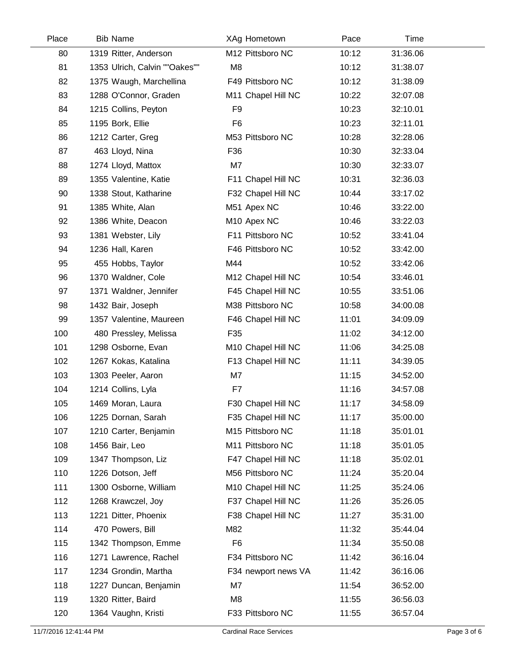| Place | <b>Bib Name</b>               | XAg Hometown            | Pace  | Time     |  |
|-------|-------------------------------|-------------------------|-------|----------|--|
| 80    | 1319 Ritter, Anderson         | M12 Pittsboro NC        | 10:12 | 31:36.06 |  |
| 81    | 1353 Ulrich, Calvin ""Oakes"" | M <sub>8</sub>          | 10:12 | 31:38.07 |  |
| 82    | 1375 Waugh, Marchellina       | F49 Pittsboro NC        | 10:12 | 31:38.09 |  |
| 83    | 1288 O'Connor, Graden         | M11 Chapel Hill NC      | 10:22 | 32:07.08 |  |
| 84    | 1215 Collins, Peyton          | F <sub>9</sub>          | 10:23 | 32:10.01 |  |
| 85    | 1195 Bork, Ellie              | F <sub>6</sub>          | 10:23 | 32:11.01 |  |
| 86    | 1212 Carter, Greg             | M53 Pittsboro NC        | 10:28 | 32:28.06 |  |
| 87    | 463 Lloyd, Nina               | F36                     | 10:30 | 32:33.04 |  |
| 88    | 1274 Lloyd, Mattox            | M7                      | 10:30 | 32:33.07 |  |
| 89    | 1355 Valentine, Katie         | F11 Chapel Hill NC      | 10:31 | 32:36.03 |  |
| 90    | 1338 Stout, Katharine         | F32 Chapel Hill NC      | 10:44 | 33:17.02 |  |
| 91    | 1385 White, Alan              | M51 Apex NC             | 10:46 | 33:22.00 |  |
| 92    | 1386 White, Deacon            | M <sub>10</sub> Apex NC | 10:46 | 33:22.03 |  |
| 93    | 1381 Webster, Lily            | F11 Pittsboro NC        | 10:52 | 33:41.04 |  |
| 94    | 1236 Hall, Karen              | F46 Pittsboro NC        | 10:52 | 33:42.00 |  |
| 95    | 455 Hobbs, Taylor             | M44                     | 10:52 | 33:42.06 |  |
| 96    | 1370 Waldner, Cole            | M12 Chapel Hill NC      | 10:54 | 33:46.01 |  |
| 97    | 1371 Waldner, Jennifer        | F45 Chapel Hill NC      | 10:55 | 33:51.06 |  |
| 98    | 1432 Bair, Joseph             | M38 Pittsboro NC        | 10:58 | 34:00.08 |  |
| 99    | 1357 Valentine, Maureen       | F46 Chapel Hill NC      | 11:01 | 34:09.09 |  |
| 100   | 480 Pressley, Melissa         | F35                     | 11:02 | 34:12.00 |  |
| 101   | 1298 Osborne, Evan            | M10 Chapel Hill NC      | 11:06 | 34:25.08 |  |
| 102   | 1267 Kokas, Katalina          | F13 Chapel Hill NC      | 11:11 | 34:39.05 |  |
| 103   | 1303 Peeler, Aaron            | M7                      | 11:15 | 34:52.00 |  |
| 104   | 1214 Collins, Lyla            | F7                      | 11:16 | 34:57.08 |  |
| 105   | 1469 Moran, Laura             | F30 Chapel Hill NC      | 11:17 | 34:58.09 |  |
| 106   | 1225 Dornan, Sarah            | F35 Chapel Hill NC      | 11:17 | 35:00.00 |  |
| 107   | 1210 Carter, Benjamin         | M15 Pittsboro NC        | 11:18 | 35:01.01 |  |
| 108   | 1456 Bair, Leo                | M11 Pittsboro NC        | 11:18 | 35:01.05 |  |
| 109   | 1347 Thompson, Liz            | F47 Chapel Hill NC      | 11:18 | 35:02.01 |  |
| 110   | 1226 Dotson, Jeff             | M56 Pittsboro NC        | 11:24 | 35:20.04 |  |
| 111   | 1300 Osborne, William         | M10 Chapel Hill NC      | 11:25 | 35:24.06 |  |
| 112   | 1268 Krawczel, Joy            | F37 Chapel Hill NC      | 11:26 | 35:26.05 |  |
| 113   | 1221 Ditter, Phoenix          | F38 Chapel Hill NC      | 11:27 | 35:31.00 |  |
| 114   | 470 Powers, Bill              | M82                     | 11:32 | 35:44.04 |  |
| 115   | 1342 Thompson, Emme           | F <sub>6</sub>          | 11:34 | 35:50.08 |  |
| 116   | 1271 Lawrence, Rachel         | F34 Pittsboro NC        | 11:42 | 36:16.04 |  |
| 117   | 1234 Grondin, Martha          | F34 newport news VA     | 11:42 | 36:16.06 |  |
| 118   | 1227 Duncan, Benjamin         | M7                      | 11:54 | 36:52.00 |  |
| 119   | 1320 Ritter, Baird            | M <sub>8</sub>          | 11:55 | 36:56.03 |  |
| 120   | 1364 Vaughn, Kristi           | F33 Pittsboro NC        | 11:55 | 36:57.04 |  |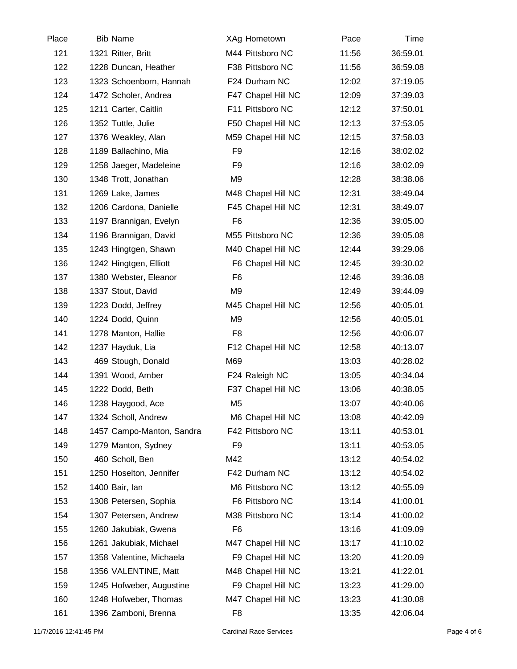| Place | <b>Bib Name</b>           | XAg Hometown       | Pace  | Time     |  |
|-------|---------------------------|--------------------|-------|----------|--|
| 121   | 1321 Ritter, Britt        | M44 Pittsboro NC   | 11:56 | 36:59.01 |  |
| 122   | 1228 Duncan, Heather      | F38 Pittsboro NC   | 11:56 | 36:59.08 |  |
| 123   | 1323 Schoenborn, Hannah   | F24 Durham NC      | 12:02 | 37:19.05 |  |
| 124   | 1472 Scholer, Andrea      | F47 Chapel Hill NC | 12:09 | 37:39.03 |  |
| 125   | 1211 Carter, Caitlin      | F11 Pittsboro NC   | 12:12 | 37:50.01 |  |
| 126   | 1352 Tuttle, Julie        | F50 Chapel Hill NC | 12:13 | 37:53.05 |  |
| 127   | 1376 Weakley, Alan        | M59 Chapel Hill NC | 12:15 | 37:58.03 |  |
| 128   | 1189 Ballachino, Mia      | F <sub>9</sub>     | 12:16 | 38:02.02 |  |
| 129   | 1258 Jaeger, Madeleine    | F <sub>9</sub>     | 12:16 | 38:02.09 |  |
| 130   | 1348 Trott, Jonathan      | M <sub>9</sub>     | 12:28 | 38:38.06 |  |
| 131   | 1269 Lake, James          | M48 Chapel Hill NC | 12:31 | 38:49.04 |  |
| 132   | 1206 Cardona, Danielle    | F45 Chapel Hill NC | 12:31 | 38:49.07 |  |
| 133   | 1197 Brannigan, Evelyn    | F <sub>6</sub>     | 12:36 | 39:05.00 |  |
| 134   | 1196 Brannigan, David     | M55 Pittsboro NC   | 12:36 | 39:05.08 |  |
| 135   | 1243 Hingtgen, Shawn      | M40 Chapel Hill NC | 12:44 | 39:29.06 |  |
| 136   | 1242 Hingtgen, Elliott    | F6 Chapel Hill NC  | 12:45 | 39:30.02 |  |
| 137   | 1380 Webster, Eleanor     | F <sub>6</sub>     | 12:46 | 39:36.08 |  |
| 138   | 1337 Stout, David         | M <sub>9</sub>     | 12:49 | 39:44.09 |  |
| 139   | 1223 Dodd, Jeffrey        | M45 Chapel Hill NC | 12:56 | 40:05.01 |  |
| 140   | 1224 Dodd, Quinn          | M <sub>9</sub>     | 12:56 | 40:05.01 |  |
| 141   | 1278 Manton, Hallie       | F <sub>8</sub>     | 12:56 | 40:06.07 |  |
| 142   | 1237 Hayduk, Lia          | F12 Chapel Hill NC | 12:58 | 40:13.07 |  |
| 143   | 469 Stough, Donald        | M69                | 13:03 | 40:28.02 |  |
| 144   | 1391 Wood, Amber          | F24 Raleigh NC     | 13:05 | 40:34.04 |  |
| 145   | 1222 Dodd, Beth           | F37 Chapel Hill NC | 13:06 | 40:38.05 |  |
| 146   | 1238 Haygood, Ace         | M <sub>5</sub>     | 13:07 | 40:40.06 |  |
| 147   | 1324 Scholl, Andrew       | M6 Chapel Hill NC  | 13:08 | 40:42.09 |  |
| 148   | 1457 Campo-Manton, Sandra | F42 Pittsboro NC   | 13:11 | 40:53.01 |  |
| 149   | 1279 Manton, Sydney       | F <sub>9</sub>     | 13:11 | 40:53.05 |  |
| 150   | 460 Scholl, Ben           | M42                | 13:12 | 40:54.02 |  |
| 151   | 1250 Hoselton, Jennifer   | F42 Durham NC      | 13:12 | 40:54.02 |  |
| 152   | 1400 Bair, lan            | M6 Pittsboro NC    | 13:12 | 40:55.09 |  |
| 153   | 1308 Petersen, Sophia     | F6 Pittsboro NC    | 13:14 | 41:00.01 |  |
| 154   | 1307 Petersen, Andrew     | M38 Pittsboro NC   | 13:14 | 41:00.02 |  |
| 155   | 1260 Jakubiak, Gwena      | F <sub>6</sub>     | 13:16 | 41:09.09 |  |
| 156   | 1261 Jakubiak, Michael    | M47 Chapel Hill NC | 13:17 | 41:10.02 |  |
| 157   | 1358 Valentine, Michaela  | F9 Chapel Hill NC  | 13:20 | 41:20.09 |  |
| 158   | 1356 VALENTINE, Matt      | M48 Chapel Hill NC | 13:21 | 41:22.01 |  |
| 159   | 1245 Hofweber, Augustine  | F9 Chapel Hill NC  | 13:23 | 41:29.00 |  |
| 160   | 1248 Hofweber, Thomas     | M47 Chapel Hill NC | 13:23 | 41:30.08 |  |
| 161   | 1396 Zamboni, Brenna      | F <sub>8</sub>     | 13:35 | 42:06.04 |  |
|       |                           |                    |       |          |  |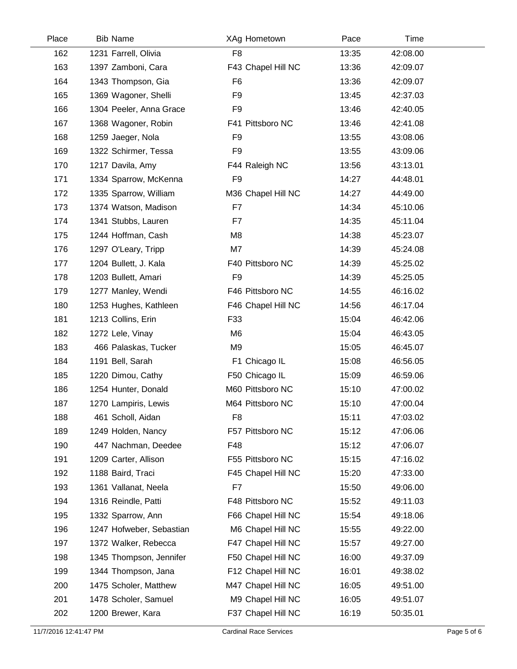| Place | <b>Bib Name</b>          | XAg Hometown       | Pace  | Time     |  |
|-------|--------------------------|--------------------|-------|----------|--|
| 162   | 1231 Farrell, Olivia     | F <sub>8</sub>     | 13:35 | 42:08.00 |  |
| 163   | 1397 Zamboni, Cara       | F43 Chapel Hill NC | 13:36 | 42:09.07 |  |
| 164   | 1343 Thompson, Gia       | F <sub>6</sub>     | 13:36 | 42:09.07 |  |
| 165   | 1369 Wagoner, Shelli     | F <sub>9</sub>     | 13:45 | 42:37.03 |  |
| 166   | 1304 Peeler, Anna Grace  | F <sub>9</sub>     | 13:46 | 42:40.05 |  |
| 167   | 1368 Wagoner, Robin      | F41 Pittsboro NC   | 13:46 | 42:41.08 |  |
| 168   | 1259 Jaeger, Nola        | F <sub>9</sub>     | 13:55 | 43:08.06 |  |
| 169   | 1322 Schirmer, Tessa     | F <sub>9</sub>     | 13:55 | 43:09.06 |  |
| 170   | 1217 Davila, Amy         | F44 Raleigh NC     | 13:56 | 43:13.01 |  |
| 171   | 1334 Sparrow, McKenna    | F <sub>9</sub>     | 14:27 | 44:48.01 |  |
| 172   | 1335 Sparrow, William    | M36 Chapel Hill NC | 14:27 | 44:49.00 |  |
| 173   | 1374 Watson, Madison     | F7                 | 14:34 | 45:10.06 |  |
| 174   | 1341 Stubbs, Lauren      | F7                 | 14:35 | 45:11.04 |  |
| 175   | 1244 Hoffman, Cash       | M <sub>8</sub>     | 14:38 | 45:23.07 |  |
| 176   | 1297 O'Leary, Tripp      | M7                 | 14:39 | 45:24.08 |  |
| 177   | 1204 Bullett, J. Kala    | F40 Pittsboro NC   | 14:39 | 45:25.02 |  |
| 178   | 1203 Bullett, Amari      | F <sub>9</sub>     | 14:39 | 45:25.05 |  |
| 179   | 1277 Manley, Wendi       | F46 Pittsboro NC   | 14:55 | 46:16.02 |  |
| 180   | 1253 Hughes, Kathleen    | F46 Chapel Hill NC | 14:56 | 46:17.04 |  |
| 181   | 1213 Collins, Erin       | F33                | 15:04 | 46:42.06 |  |
| 182   | 1272 Lele, Vinay         | M <sub>6</sub>     | 15:04 | 46:43.05 |  |
| 183   | 466 Palaskas, Tucker     | M <sub>9</sub>     | 15:05 | 46:45.07 |  |
| 184   | 1191 Bell, Sarah         | F1 Chicago IL      | 15:08 | 46:56.05 |  |
| 185   | 1220 Dimou, Cathy        | F50 Chicago IL     | 15:09 | 46:59.06 |  |
| 186   | 1254 Hunter, Donald      | M60 Pittsboro NC   | 15:10 | 47:00.02 |  |
| 187   | 1270 Lampiris, Lewis     | M64 Pittsboro NC   | 15:10 | 47:00.04 |  |
| 188   | 461 Scholl, Aidan        | F <sub>8</sub>     | 15:11 | 47:03.02 |  |
| 189   | 1249 Holden, Nancy       | F57 Pittsboro NC   | 15:12 | 47:06.06 |  |
| 190   | 447 Nachman, Deedee      | F48                | 15:12 | 47:06.07 |  |
| 191   | 1209 Carter, Allison     | F55 Pittsboro NC   | 15:15 | 47:16.02 |  |
| 192   | 1188 Baird, Traci        | F45 Chapel Hill NC | 15:20 | 47:33.00 |  |
| 193   | 1361 Vallanat, Neela     | F7                 | 15:50 | 49:06.00 |  |
| 194   | 1316 Reindle, Patti      | F48 Pittsboro NC   | 15:52 | 49:11.03 |  |
| 195   | 1332 Sparrow, Ann        | F66 Chapel Hill NC | 15:54 | 49:18.06 |  |
| 196   | 1247 Hofweber, Sebastian | M6 Chapel Hill NC  | 15:55 | 49:22.00 |  |
| 197   | 1372 Walker, Rebecca     | F47 Chapel Hill NC | 15:57 | 49:27.00 |  |
| 198   | 1345 Thompson, Jennifer  | F50 Chapel Hill NC | 16:00 | 49:37.09 |  |
| 199   | 1344 Thompson, Jana      | F12 Chapel Hill NC | 16:01 | 49:38.02 |  |
| 200   | 1475 Scholer, Matthew    | M47 Chapel Hill NC | 16:05 | 49:51.00 |  |
| 201   | 1478 Scholer, Samuel     | M9 Chapel Hill NC  | 16:05 | 49:51.07 |  |
| 202   | 1200 Brewer, Kara        | F37 Chapel Hill NC | 16:19 | 50:35.01 |  |